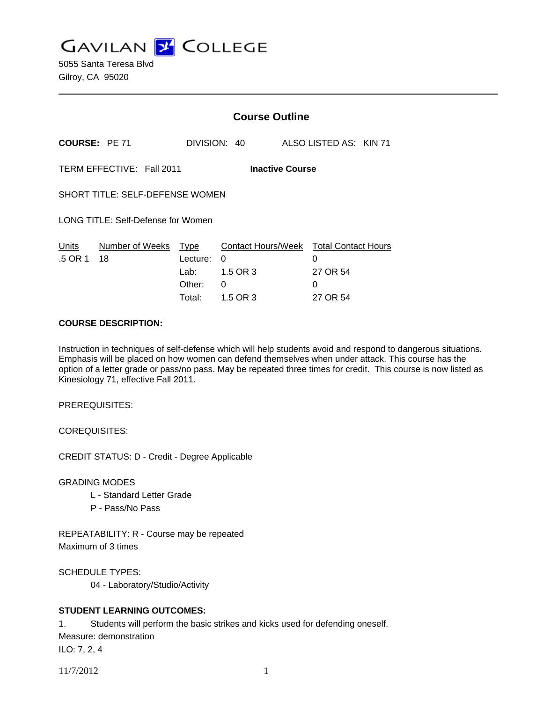**GAVILAN J COLLEGE** 

|                                                     | <b>Course Outline</b> |                                                     |                                                             |                                                              |  |
|-----------------------------------------------------|-----------------------|-----------------------------------------------------|-------------------------------------------------------------|--------------------------------------------------------------|--|
| COURSE: PE 71                                       |                       | DIVISION: 40                                        |                                                             | ALSO LISTED AS: KIN 71                                       |  |
| TERM EFFECTIVE: Fall 2011<br><b>Inactive Course</b> |                       |                                                     |                                                             |                                                              |  |
| SHORT TITLE: SELF-DEFENSE WOMEN                     |                       |                                                     |                                                             |                                                              |  |
| LONG TITLE: Self-Defense for Women                  |                       |                                                     |                                                             |                                                              |  |
| Units<br>.5 OR 1                                    | Number of Weeks<br>18 | <b>Type</b><br>Lecture:<br>Lab:<br>Other:<br>Total: | <b>Contact Hours/Week</b><br>0<br>1.5 OR 3<br>0<br>1.5 OR 3 | <b>Total Contact Hours</b><br>0<br>27 OR 54<br>0<br>27 OR 54 |  |

### **COURSE DESCRIPTION:**

Instruction in techniques of self-defense which will help students avoid and respond to dangerous situations. Emphasis will be placed on how women can defend themselves when under attack. This course has the option of a letter grade or pass/no pass. May be repeated three times for credit. This course is now listed as Kinesiology 71, effective Fall 2011.

PREREQUISITES:

COREQUISITES:

CREDIT STATUS: D - Credit - Degree Applicable

GRADING MODES

- L Standard Letter Grade
- P Pass/No Pass

REPEATABILITY: R - Course may be repeated Maximum of 3 times

SCHEDULE TYPES:

04 - Laboratory/Studio/Activity

# **STUDENT LEARNING OUTCOMES:**

1. Students will perform the basic strikes and kicks used for defending oneself. Measure: demonstration

ILO: 7, 2, 4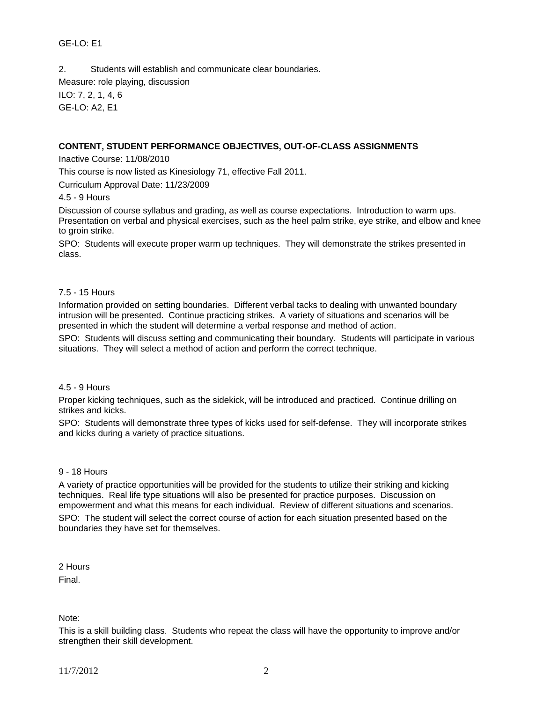### GE-LO: E1

2. Students will establish and communicate clear boundaries. Measure: role playing, discussion ILO: 7, 2, 1, 4, 6 GE-LO: A2, E1

#### **CONTENT, STUDENT PERFORMANCE OBJECTIVES, OUT-OF-CLASS ASSIGNMENTS**

Inactive Course: 11/08/2010

This course is now listed as Kinesiology 71, effective Fall 2011.

Curriculum Approval Date: 11/23/2009

4.5 - 9 Hours

Discussion of course syllabus and grading, as well as course expectations. Introduction to warm ups. Presentation on verbal and physical exercises, such as the heel palm strike, eye strike, and elbow and knee to groin strike.

SPO: Students will execute proper warm up techniques. They will demonstrate the strikes presented in class.

#### 7.5 - 15 Hours

Information provided on setting boundaries. Different verbal tacks to dealing with unwanted boundary intrusion will be presented. Continue practicing strikes. A variety of situations and scenarios will be presented in which the student will determine a verbal response and method of action.

SPO: Students will discuss setting and communicating their boundary. Students will participate in various situations. They will select a method of action and perform the correct technique.

#### 4.5 - 9 Hours

Proper kicking techniques, such as the sidekick, will be introduced and practiced. Continue drilling on strikes and kicks.

SPO: Students will demonstrate three types of kicks used for self-defense. They will incorporate strikes and kicks during a variety of practice situations.

#### 9 - 18 Hours

A variety of practice opportunities will be provided for the students to utilize their striking and kicking techniques. Real life type situations will also be presented for practice purposes. Discussion on empowerment and what this means for each individual. Review of different situations and scenarios. SPO: The student will select the correct course of action for each situation presented based on the boundaries they have set for themselves.

2 Hours

Final.

Note:

This is a skill building class. Students who repeat the class will have the opportunity to improve and/or strengthen their skill development.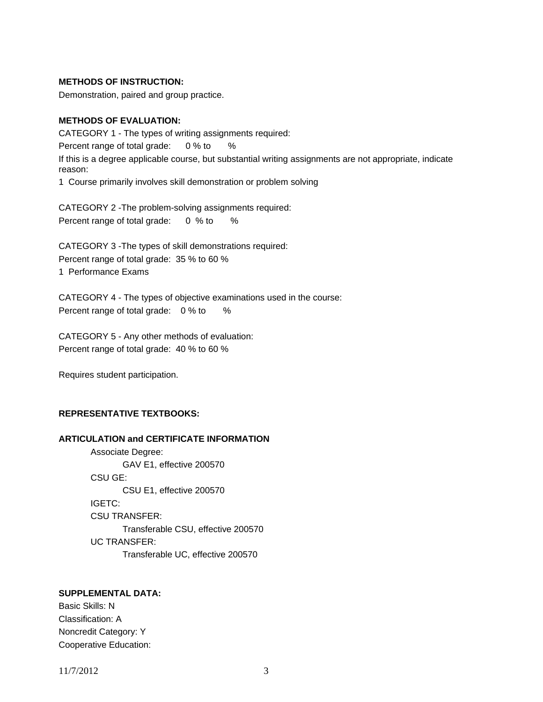#### **METHODS OF INSTRUCTION:**

Demonstration, paired and group practice.

### **METHODS OF EVALUATION:**

CATEGORY 1 - The types of writing assignments required: Percent range of total grade: 0 % to % If this is a degree applicable course, but substantial writing assignments are not appropriate, indicate reason: 1 Course primarily involves skill demonstration or problem solving

CATEGORY 2 -The problem-solving assignments required: Percent range of total grade: 0 % to %

CATEGORY 3 -The types of skill demonstrations required: Percent range of total grade: 35 % to 60 % 1 Performance Exams

CATEGORY 4 - The types of objective examinations used in the course: Percent range of total grade: 0 % to %

CATEGORY 5 - Any other methods of evaluation: Percent range of total grade: 40 % to 60 %

Requires student participation.

## **REPRESENTATIVE TEXTBOOKS:**

### **ARTICULATION and CERTIFICATE INFORMATION**

 Associate Degree: GAV E1, effective 200570 CSU GE: CSU E1, effective 200570 IGETC: CSU TRANSFER: Transferable CSU, effective 200570 UC TRANSFER: Transferable UC, effective 200570

## **SUPPLEMENTAL DATA:**

Basic Skills: N Classification: A Noncredit Category: Y Cooperative Education:

11/7/2012 3